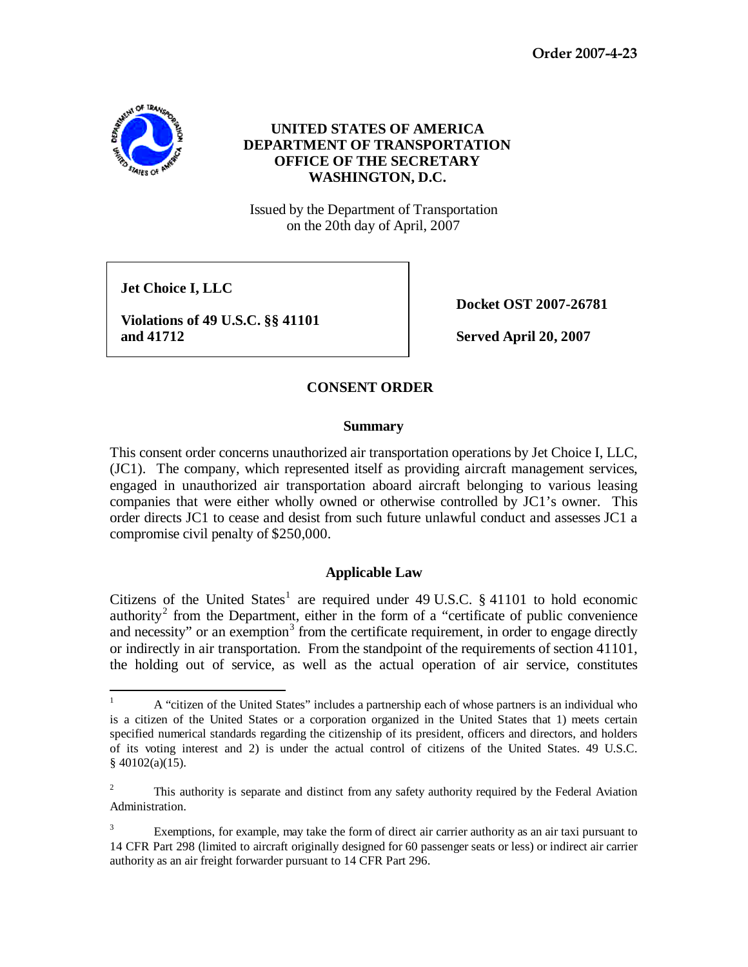**Order 2007-4-23**



## **UNITED STATES OF AMERICA DEPARTMENT OF TRANSPORTATION OFFICE OF THE SECRETARY WASHINGTON, D.C.**

Issued by the Department of Transportation on the 20th day of April, 2007

**Jet Choice I, LLC**

**Violations of 49 U.S.C. §§ 41101 and 41712 Served April 20, 2007**

**Docket OST 2007-26781**

# **CONSENT ORDER**

### **Summary**

This consent order concerns unauthorized air transportation operations by Jet Choice I, LLC, (JC1). The company, which represented itself as providing aircraft management services, engaged in unauthorized air transportation aboard aircraft belonging to various leasing companies that were either wholly owned or otherwise controlled by JC1's owner. This order directs JC1 to cease and desist from such future unlawful conduct and assesses JC1 a compromise civil penalty of \$250,000.

## **Applicable Law**

Citizens of the United States<sup>[1](#page-0-0)</sup> are required under 49 U.S.C.  $\S$  41101 to hold economic authority<sup>[2](#page-0-1)</sup> from the Department, either in the form of a "certificate of public convenience" and necessity" or an exemption<sup>[3](#page-0-2)</sup> from the certificate requirement, in order to engage directly or indirectly in air transportation. From the standpoint of the requirements of section 41101, the holding out of service, as well as the actual operation of air service, constitutes

<span id="page-0-0"></span><sup>&</sup>lt;sup>1</sup> A "citizen of the United States" includes a partnership each of whose partners is an individual who is a citizen of the United States or a corporation organized in the United States that 1) meets certain specified numerical standards regarding the citizenship of its president, officers and directors, and holders of its voting interest and 2) is under the actual control of citizens of the United States. 49 U.S.C.  $§$  40102(a)(15).

<span id="page-0-1"></span><sup>2</sup> This authority is separate and distinct from any safety authority required by the Federal Aviation Administration.

<span id="page-0-2"></span><sup>3</sup> Exemptions, for example, may take the form of direct air carrier authority as an air taxi pursuant to 14 CFR Part 298 (limited to aircraft originally designed for 60 passenger seats or less) or indirect air carrier authority as an air freight forwarder pursuant to 14 CFR Part 296.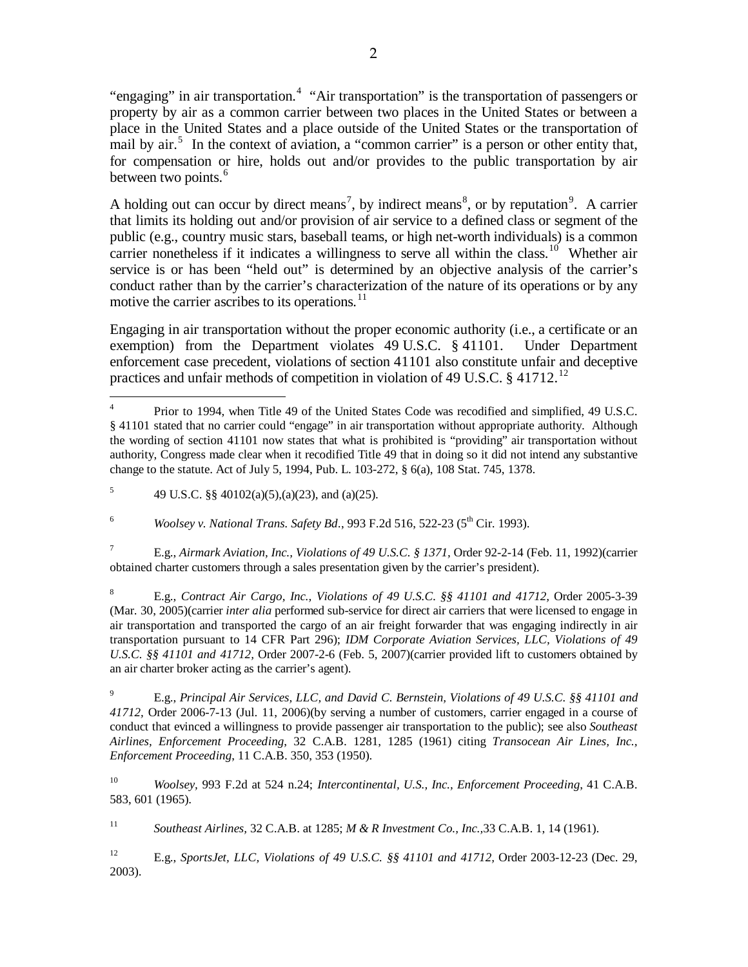"engaging" in air transportation.<sup>[4](#page-1-0)</sup> "Air transportation" is the transportation of passengers or property by air as a common carrier between two places in the United States or between a place in the United States and a place outside of the United States or the transportation of mail by air.<sup>[5](#page-1-1)</sup> In the context of aviation, a "common carrier" is a person or other entity that, for compensation or hire, holds out and/or provides to the public transportation by air between two points.<sup>[6](#page-1-2)</sup>

A holding out can occur by direct means<sup>[7](#page-1-3)</sup>, by indirect means<sup>[8](#page-1-4)</sup>, or by reputation<sup>[9](#page-1-5)</sup>. A carrier that limits its holding out and/or provision of air service to a defined class or segment of the public (e.g., country music stars, baseball teams, or high net-worth individuals) is a common carrier nonetheless if it indicates a willingness to serve all within the class.<sup>10</sup> Whether air service is or has been "held out" is determined by an objective analysis of the carrier's conduct rather than by the carrier's characterization of the nature of its operations or by any motive the carrier ascribes to its operations.<sup>[11](#page-1-7)</sup>

Engaging in air transportation without the proper economic authority (i.e., a certificate or an exemption) from the Department violates 49 U.S.C. § 41101. Under Department enforcement case precedent, violations of section 41101 also constitute unfair and deceptive practices and unfair methods of competition in violation of 49 U.S.C.  $\S$  417[12](#page-1-8).<sup>12</sup>

<span id="page-1-2"></span><sup>6</sup> *Woolsey v. National Trans. Safety Bd.*, 993 F.2d 516, 522-23 (5<sup>th</sup> Cir. 1993).

<span id="page-1-3"></span><sup>7</sup> E.g., *Airmark Aviation, Inc., Violations of 49 U.S.C. § 1371,* Order 92-2-14 (Feb. 11, 1992)(carrier obtained charter customers through a sales presentation given by the carrier's president).

<span id="page-1-4"></span><sup>8</sup> E.g., *Contract Air Cargo, Inc., Violations of 49 U.S.C. §§ 41101 and 41712,* Order 2005-3-39 (Mar. 30, 2005)(carrier *inter alia* performed sub-service for direct air carriers that were licensed to engage in air transportation and transported the cargo of an air freight forwarder that was engaging indirectly in air transportation pursuant to 14 CFR Part 296); *IDM Corporate Aviation Services, LLC, Violations of 49 U.S.C. §§ 41101 and 41712,* Order 2007-2-6 (Feb. 5, 2007)(carrier provided lift to customers obtained by an air charter broker acting as the carrier's agent).

<span id="page-1-5"></span><sup>9</sup> E.g., *Principal Air Services, LLC, and David C. Bernstein, Violations of 49 U.S.C. §§ 41101 and 41712,* Order 2006-7-13 (Jul. 11, 2006)(by serving a number of customers, carrier engaged in a course of conduct that evinced a willingness to provide passenger air transportation to the public); see also *Southeast Airlines, Enforcement Proceeding*, 32 C.A.B. 1281, 1285 (1961) citing *Transocean Air Lines, Inc., Enforcement Proceeding*, 11 C.A.B. 350, 353 (1950).

<span id="page-1-6"></span><sup>10</sup> *Woolsey,* 993 F.2d at 524 n.24; *Intercontinental, U.S., Inc., Enforcement Proceeding*, 41 C.A.B. 583, 601 (1965).

<span id="page-1-7"></span><sup>11</sup> *Southeast Airlines,* 32 C.A.B. at 1285; *M & R Investment Co., Inc.,*33 C.A.B. 1, 14 (1961).

<span id="page-1-8"></span><sup>12</sup> E.g., *SportsJet, LLC, Violations of 49 U.S.C. §§ 41101 and 41712,* Order 2003-12-23 (Dec. 29, 2003).

<span id="page-1-0"></span>Prior to 1994, when Title 49 of the United States Code was recodified and simplified, 49 U.S.C. § 41101 stated that no carrier could "engage" in air transportation without appropriate authority. Although the wording of section 41101 now states that what is prohibited is "providing" air transportation without authority, Congress made clear when it recodified Title 49 that in doing so it did not intend any substantive change to the statute. Act of July 5, 1994, Pub. L. 103-272, § 6(a), 108 Stat. 745, 1378.

<span id="page-1-1"></span><sup>&</sup>lt;sup>5</sup> 49 U.S.C. §§ 40102(a)(5),(a)(23), and (a)(25).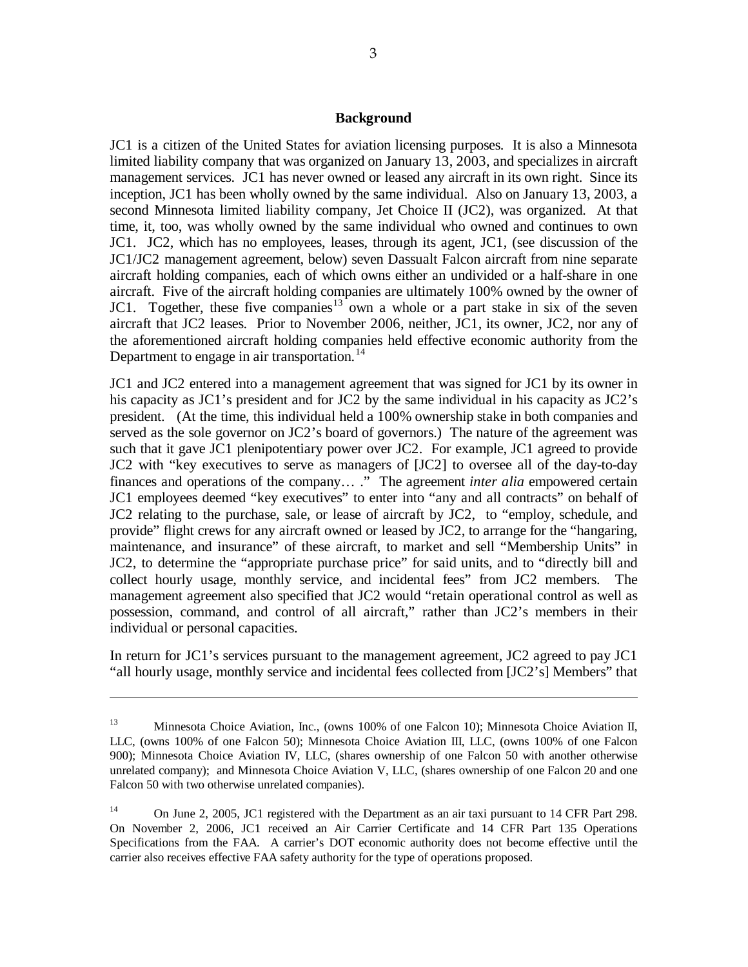#### **Background**

JC1 is a citizen of the United States for aviation licensing purposes. It is also a Minnesota limited liability company that was organized on January 13, 2003, and specializes in aircraft management services. JC1 has never owned or leased any aircraft in its own right. Since its inception, JC1 has been wholly owned by the same individual. Also on January 13, 2003, a second Minnesota limited liability company, Jet Choice II (JC2), was organized. At that time, it, too, was wholly owned by the same individual who owned and continues to own JC1. JC2, which has no employees, leases, through its agent, JC1, (see discussion of the JC1/JC2 management agreement, below) seven Dassualt Falcon aircraft from nine separate aircraft holding companies, each of which owns either an undivided or a half-share in one aircraft. Five of the aircraft holding companies are ultimately 100% owned by the owner of JC1. Together, these five companies<sup>[13](#page-2-0)</sup> own a whole or a part stake in six of the seven aircraft that JC2 leases. Prior to November 2006, neither, JC1, its owner, JC2, nor any of the aforementioned aircraft holding companies held effective economic authority from the Department to engage in air transportation.<sup>[14](#page-2-1)</sup>

JC1 and JC2 entered into a management agreement that was signed for JC1 by its owner in his capacity as JC1's president and for JC2 by the same individual in his capacity as JC2's president. (At the time, this individual held a 100% ownership stake in both companies and served as the sole governor on JC2's board of governors.) The nature of the agreement was such that it gave JC1 plenipotentiary power over JC2. For example, JC1 agreed to provide JC2 with "key executives to serve as managers of [JC2] to oversee all of the day-to-day finances and operations of the company… ." The agreement *inter alia* empowered certain JC1 employees deemed "key executives" to enter into "any and all contracts" on behalf of JC2 relating to the purchase, sale, or lease of aircraft by JC2, to "employ, schedule, and provide" flight crews for any aircraft owned or leased by JC2, to arrange for the "hangaring, maintenance, and insurance" of these aircraft, to market and sell "Membership Units" in JC2, to determine the "appropriate purchase price" for said units, and to "directly bill and collect hourly usage, monthly service, and incidental fees" from JC2 members. The management agreement also specified that JC2 would "retain operational control as well as possession, command, and control of all aircraft," rather than JC2's members in their individual or personal capacities.

In return for JC1's services pursuant to the management agreement, JC2 agreed to pay JC1 "all hourly usage, monthly service and incidental fees collected from [JC2's] Members" that

 $\overline{a}$ 

<span id="page-2-0"></span><sup>&</sup>lt;sup>13</sup> Minnesota Choice Aviation, Inc., (owns 100% of one Falcon 10); Minnesota Choice Aviation II, LLC, (owns 100% of one Falcon 50); Minnesota Choice Aviation III, LLC, (owns 100% of one Falcon 900); Minnesota Choice Aviation IV, LLC, (shares ownership of one Falcon 50 with another otherwise unrelated company); and Minnesota Choice Aviation V, LLC, (shares ownership of one Falcon 20 and one Falcon 50 with two otherwise unrelated companies).

<span id="page-2-1"></span><sup>&</sup>lt;sup>14</sup> On June 2, 2005, JC1 registered with the Department as an air taxi pursuant to 14 CFR Part 298. On November 2, 2006, JC1 received an Air Carrier Certificate and 14 CFR Part 135 Operations Specifications from the FAA. A carrier's DOT economic authority does not become effective until the carrier also receives effective FAA safety authority for the type of operations proposed.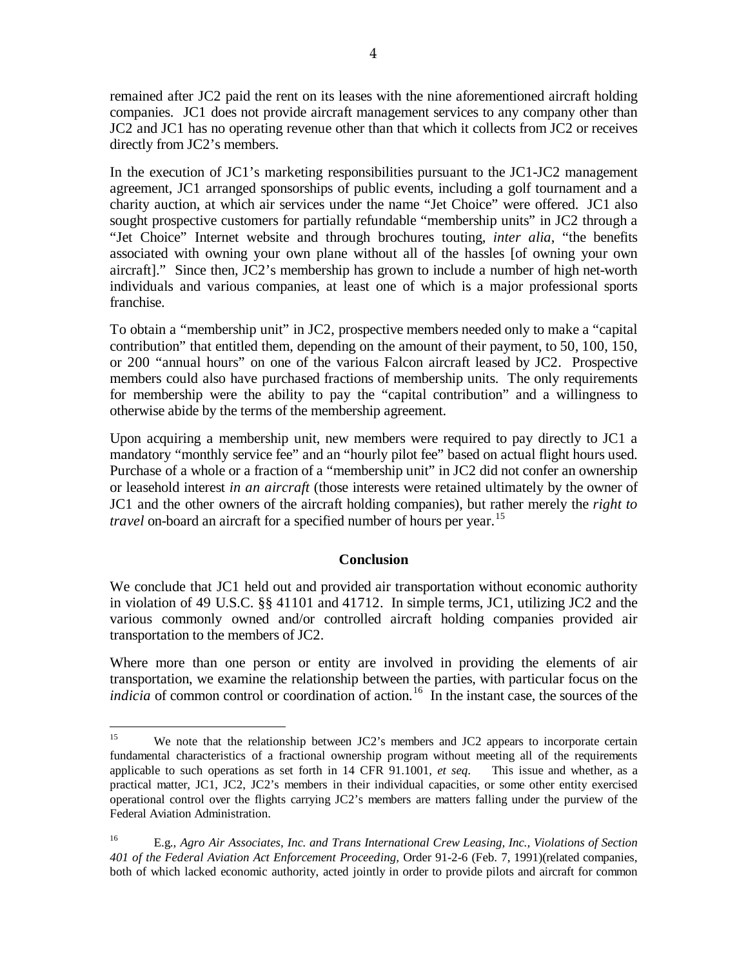remained after JC2 paid the rent on its leases with the nine aforementioned aircraft holding companies. JC1 does not provide aircraft management services to any company other than JC2 and JC1 has no operating revenue other than that which it collects from JC2 or receives directly from JC2's members.

In the execution of JC1's marketing responsibilities pursuant to the JC1-JC2 management agreement, JC1 arranged sponsorships of public events, including a golf tournament and a charity auction, at which air services under the name "Jet Choice" were offered. JC1 also sought prospective customers for partially refundable "membership units" in JC2 through a "Jet Choice" Internet website and through brochures touting, *inter alia*, "the benefits associated with owning your own plane without all of the hassles [of owning your own aircraft]." Since then, JC2's membership has grown to include a number of high net-worth individuals and various companies, at least one of which is a major professional sports franchise.

To obtain a "membership unit" in JC2, prospective members needed only to make a "capital contribution" that entitled them, depending on the amount of their payment, to 50, 100, 150, or 200 "annual hours" on one of the various Falcon aircraft leased by JC2. Prospective members could also have purchased fractions of membership units. The only requirements for membership were the ability to pay the "capital contribution" and a willingness to otherwise abide by the terms of the membership agreement.

Upon acquiring a membership unit, new members were required to pay directly to JC1 a mandatory "monthly service fee" and an "hourly pilot fee" based on actual flight hours used. Purchase of a whole or a fraction of a "membership unit" in JC2 did not confer an ownership or leasehold interest *in an aircraft* (those interests were retained ultimately by the owner of JC1 and the other owners of the aircraft holding companies), but rather merely the *right to travel* on-board an aircraft for a specified number of hours per year. [15](#page-3-0) 

### **Conclusion**

We conclude that JC1 held out and provided air transportation without economic authority in violation of 49 U.S.C. §§ 41101 and 41712. In simple terms, JC1, utilizing JC2 and the various commonly owned and/or controlled aircraft holding companies provided air transportation to the members of JC2.

Where more than one person or entity are involved in providing the elements of air transportation, we examine the relationship between the parties, with particular focus on the *indicia* of common control or coordination of action.<sup>[16](#page-3-1)</sup> In the instant case, the sources of the

<span id="page-3-0"></span><sup>&</sup>lt;sup>15</sup> We note that the relationship between JC2's members and JC2 appears to incorporate certain fundamental characteristics of a fractional ownership program without meeting all of the requirements applicable to such operations as set forth in 14 CFR 91.1001, *et seq*. This issue and whether, as a practical matter, JC1, JC2, JC2's members in their individual capacities, or some other entity exercised operational control over the flights carrying JC2's members are matters falling under the purview of the Federal Aviation Administration.

<span id="page-3-1"></span><sup>16</sup> E.g., *Agro Air Associates, Inc. and Trans International Crew Leasing, Inc., Violations of Section 401 of the Federal Aviation Act Enforcement Proceeding,* Order 91-2-6 (Feb. 7, 1991)(related companies, both of which lacked economic authority, acted jointly in order to provide pilots and aircraft for common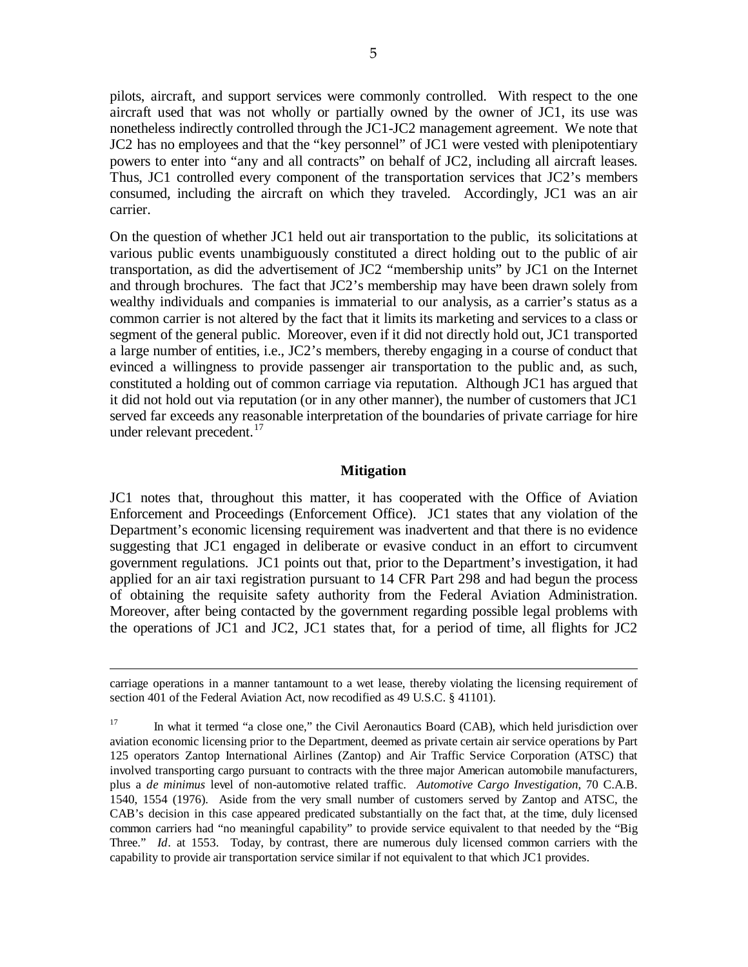pilots, aircraft, and support services were commonly controlled. With respect to the one aircraft used that was not wholly or partially owned by the owner of JC1, its use was nonetheless indirectly controlled through the JC1-JC2 management agreement. We note that JC2 has no employees and that the "key personnel" of JC1 were vested with plenipotentiary powers to enter into "any and all contracts" on behalf of JC2, including all aircraft leases. Thus, JC1 controlled every component of the transportation services that JC2's members consumed, including the aircraft on which they traveled. Accordingly, JC1 was an air carrier.

On the question of whether JC1 held out air transportation to the public, its solicitations at various public events unambiguously constituted a direct holding out to the public of air transportation, as did the advertisement of JC2 "membership units" by JC1 on the Internet and through brochures. The fact that JC2's membership may have been drawn solely from wealthy individuals and companies is immaterial to our analysis, as a carrier's status as a common carrier is not altered by the fact that it limits its marketing and services to a class or segment of the general public. Moreover, even if it did not directly hold out, JC1 transported a large number of entities, i.e., JC2's members, thereby engaging in a course of conduct that evinced a willingness to provide passenger air transportation to the public and, as such, constituted a holding out of common carriage via reputation. Although JC1 has argued that it did not hold out via reputation (or in any other manner), the number of customers that JC1 served far exceeds any reasonable interpretation of the boundaries of private carriage for hire under relevant precedent.<sup>[17](#page-4-0)</sup>

### **Mitigation**

JC1 notes that, throughout this matter, it has cooperated with the Office of Aviation Enforcement and Proceedings (Enforcement Office). JC1 states that any violation of the Department's economic licensing requirement was inadvertent and that there is no evidence suggesting that JC1 engaged in deliberate or evasive conduct in an effort to circumvent government regulations. JC1 points out that, prior to the Department's investigation, it had applied for an air taxi registration pursuant to 14 CFR Part 298 and had begun the process of obtaining the requisite safety authority from the Federal Aviation Administration. Moreover, after being contacted by the government regarding possible legal problems with the operations of JC1 and JC2, JC1 states that, for a period of time, all flights for JC2

 $\overline{a}$ 

carriage operations in a manner tantamount to a wet lease, thereby violating the licensing requirement of section 401 of the Federal Aviation Act, now recodified as 49 U.S.C. § 41101).

<span id="page-4-0"></span><sup>&</sup>lt;sup>17</sup> In what it termed "a close one," the Civil Aeronautics Board (CAB), which held jurisdiction over aviation economic licensing prior to the Department, deemed as private certain air service operations by Part 125 operators Zantop International Airlines (Zantop) and Air Traffic Service Corporation (ATSC) that involved transporting cargo pursuant to contracts with the three major American automobile manufacturers, plus a *de minimus* level of non-automotive related traffic. *Automotive Cargo Investigation*, 70 C.A.B. 1540, 1554 (1976). Aside from the very small number of customers served by Zantop and ATSC, the CAB's decision in this case appeared predicated substantially on the fact that, at the time, duly licensed common carriers had "no meaningful capability" to provide service equivalent to that needed by the "Big Three." *Id*. at 1553. Today, by contrast, there are numerous duly licensed common carriers with the capability to provide air transportation service similar if not equivalent to that which JC1 provides.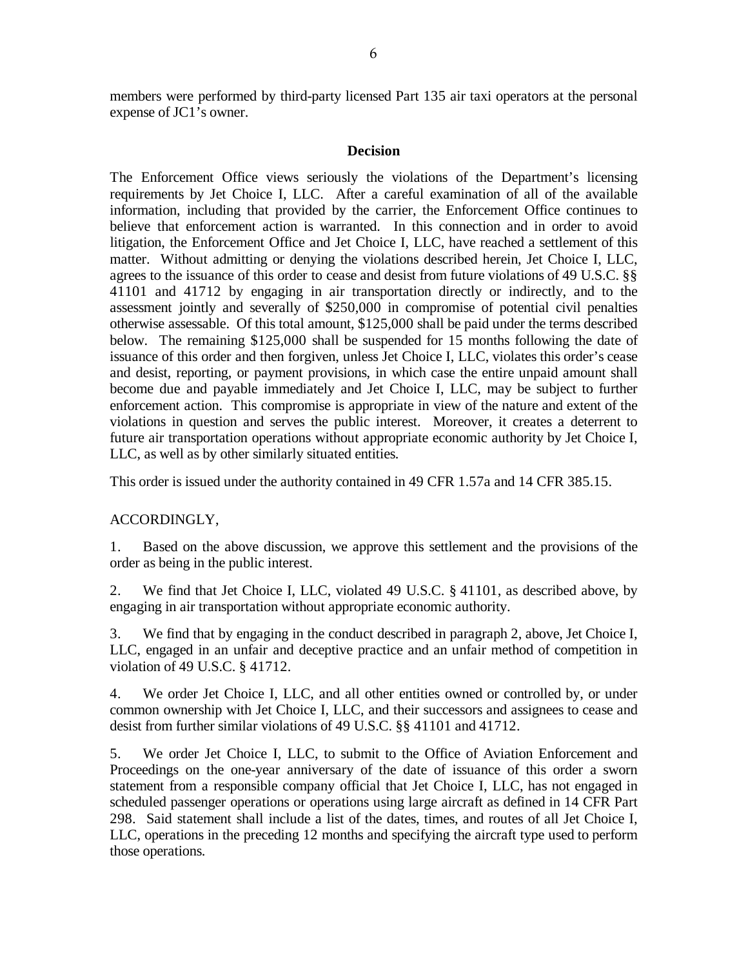members were performed by third-party licensed Part 135 air taxi operators at the personal expense of JC1's owner.

### **Decision**

The Enforcement Office views seriously the violations of the Department's licensing requirements by Jet Choice I, LLC. After a careful examination of all of the available information, including that provided by the carrier, the Enforcement Office continues to believe that enforcement action is warranted. In this connection and in order to avoid litigation, the Enforcement Office and Jet Choice I, LLC, have reached a settlement of this matter. Without admitting or denying the violations described herein, Jet Choice I, LLC, agrees to the issuance of this order to cease and desist from future violations of 49 U.S.C. §§ 41101 and 41712 by engaging in air transportation directly or indirectly, and to the assessment jointly and severally of \$250,000 in compromise of potential civil penalties otherwise assessable. Of this total amount, \$125,000 shall be paid under the terms described below. The remaining \$125,000 shall be suspended for 15 months following the date of issuance of this order and then forgiven, unless Jet Choice I, LLC, violates this order's cease and desist, reporting, or payment provisions, in which case the entire unpaid amount shall become due and payable immediately and Jet Choice I, LLC, may be subject to further enforcement action. This compromise is appropriate in view of the nature and extent of the violations in question and serves the public interest. Moreover, it creates a deterrent to future air transportation operations without appropriate economic authority by Jet Choice I, LLC, as well as by other similarly situated entities.

This order is issued under the authority contained in 49 CFR 1.57a and 14 CFR 385.15.

## ACCORDINGLY,

1. Based on the above discussion, we approve this settlement and the provisions of the order as being in the public interest.

2. We find that Jet Choice I, LLC, violated 49 U.S.C. § 41101, as described above, by engaging in air transportation without appropriate economic authority.

3. We find that by engaging in the conduct described in paragraph 2, above, Jet Choice I, LLC, engaged in an unfair and deceptive practice and an unfair method of competition in violation of 49 U.S.C. § 41712.

4. We order Jet Choice I, LLC, and all other entities owned or controlled by, or under common ownership with Jet Choice I, LLC, and their successors and assignees to cease and desist from further similar violations of 49 U.S.C. §§ 41101 and 41712.

5. We order Jet Choice I, LLC, to submit to the Office of Aviation Enforcement and Proceedings on the one-year anniversary of the date of issuance of this order a sworn statement from a responsible company official that Jet Choice I, LLC, has not engaged in scheduled passenger operations or operations using large aircraft as defined in 14 CFR Part 298. Said statement shall include a list of the dates, times, and routes of all Jet Choice I, LLC, operations in the preceding 12 months and specifying the aircraft type used to perform those operations.